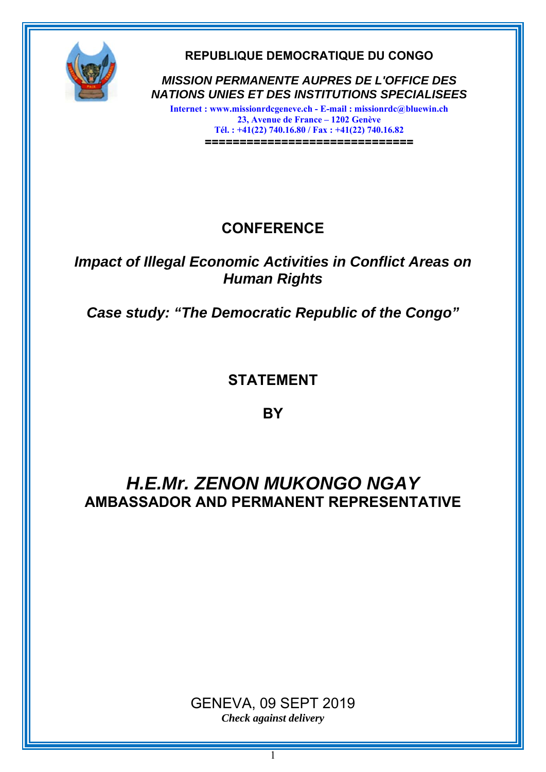

**REPUBLIQUE DEMOCRATIQUE DU CONGO** 

*MISSION PERMANENTE AUPRES DE L'OFFICE DES NATIONS UNIES ET DES INSTITUTIONS SPECIALISEES* 

**Internet : www.missionrdcgeneve.ch - E-mail : missionrdc@bluewin.ch 23, Avenue de France – 1202 Genève Tél. : +41(22) 740.16.80 / Fax : +41(22) 740.16.82 ==============================**

# **CONFERENCE**

### *Impact of Illegal Economic Activities in Conflict Areas on Human Rights*

*Case study: "The Democratic Republic of the Congo"*

## **STATEMENT**

**BY** 

# *H.E.Mr. ZENON MUKONGO NGAY*  **AMBASSADOR AND PERMANENT REPRESENTATIVE**

### GENEVA, 09 SEPT 2019 *Check against delivery*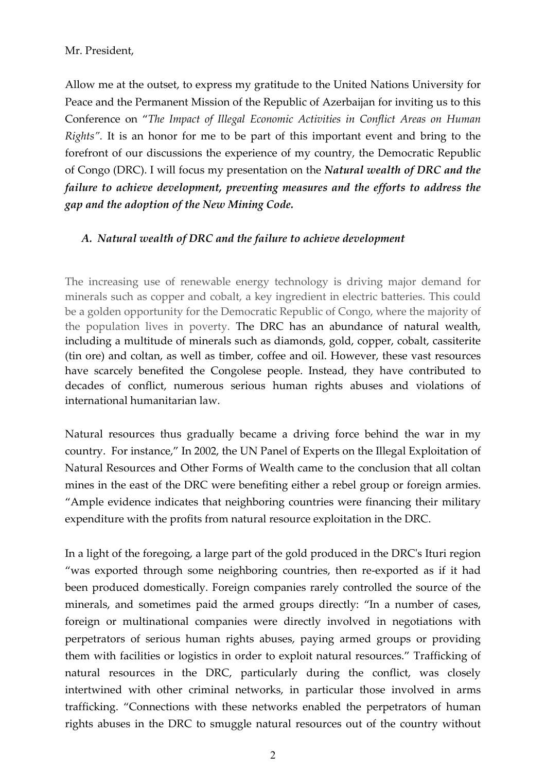#### Mr. President,

Allow me at the outset, to express my gratitude to the United Nations University for Peace and the Permanent Mission of the Republic of Azerbaijan for inviting us to this Conference on "*The Impact of Illegal Economic Activities in Conflict Areas on Human Rights".* It is an honor for me to be part of this important event and bring to the forefront of our discussions the experience of my country, the Democratic Republic of Congo (DRC). I will focus my presentation on the *Natural wealth of DRC and the failure to achieve development, preventing measures and the efforts to address the gap and the adoption of the New Mining Code.*

#### *A. Natural wealth of DRC and the failure to achieve development*

The increasing use of renewable energy technology is driving major demand for minerals such as copper and cobalt, a key ingredient in electric batteries. This could be a golden opportunity for the Democratic Republic of Congo, where the majority of the population lives in poverty. The DRC has an abundance of natural wealth, including a multitude of minerals such as diamonds, gold, copper, cobalt, cassiterite (tin ore) and coltan, as well as timber, coffee and oil. However, these vast resources have scarcely benefited the Congolese people. Instead, they have contributed to decades of conflict, numerous serious human rights abuses and violations of international humanitarian law.

Natural resources thus gradually became a driving force behind the war in my country. For instance," In 2002, the UN Panel of Experts on the Illegal Exploitation of Natural Resources and Other Forms of Wealth came to the conclusion that all coltan mines in the east of the DRC were benefiting either a rebel group or foreign armies. "Ample evidence indicates that neighboring countries were financing their military expenditure with the profits from natural resource exploitation in the DRC.

In a light of the foregoing, a large part of the gold produced in the DRCʹs Ituri region "was exported through some neighboring countries, then re‐exported as if it had been produced domestically. Foreign companies rarely controlled the source of the minerals, and sometimes paid the armed groups directly: "In a number of cases, foreign or multinational companies were directly involved in negotiations with perpetrators of serious human rights abuses, paying armed groups or providing them with facilities or logistics in order to exploit natural resources." Trafficking of natural resources in the DRC, particularly during the conflict, was closely intertwined with other criminal networks, in particular those involved in arms trafficking. "Connections with these networks enabled the perpetrators of human rights abuses in the DRC to smuggle natural resources out of the country without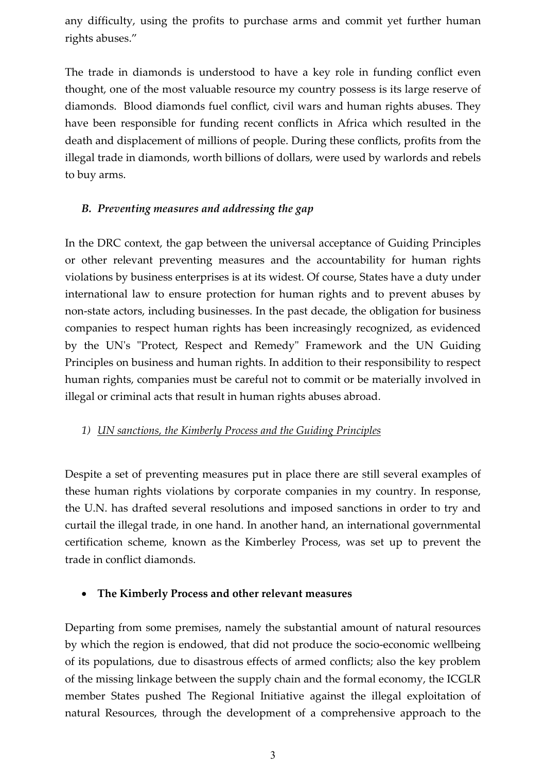any difficulty, using the profits to purchase arms and commit yet further human rights abuses."

The trade in diamonds is understood to have a key role in funding conflict even thought, one of the most valuable resource my country possess is its large reserve of diamonds. Blood diamonds fuel conflict, civil wars and human rights abuses. They have been responsible for funding recent conflicts in Africa which resulted in the death and displacement of millions of people. During these conflicts, profits from the illegal trade in diamonds, worth billions of dollars, were used by warlords and rebels to buy arms.

### *B. Preventing measures and addressing the gap*

In the DRC context, the gap between the universal acceptance of Guiding Principles or other relevant preventing measures and the accountability for human rights violations by business enterprises is at its widest. Of course, States have a duty under international law to ensure protection for human rights and to prevent abuses by non-state actors, including businesses. In the past decade, the obligation for business companies to respect human rights has been increasingly recognized, as evidenced by the UN's "Protect, Respect and Remedy" Framework and the UN Guiding Principles on business and human rights. In addition to their responsibility to respect human rights, companies must be careful not to commit or be materially involved in illegal or criminal acts that result in human rights abuses abroad.

#### *1) UN sanctions, the Kimberly Process and the Guiding Principles*

Despite a set of preventing measures put in place there are still several examples of these human rights violations by corporate companies in my country. In response, the U.N. has drafted several resolutions and imposed sanctions in order to try and curtail the illegal trade, in one hand. In another hand, an international governmental certification scheme, known as the Kimberley Process, was set up to prevent the trade in conflict diamonds.

#### **The Kimberly Process and other relevant measures**

Departing from some premises, namely the substantial amount of natural resources by which the region is endowed, that did not produce the socio‐economic wellbeing of its populations, due to disastrous effects of armed conflicts; also the key problem of the missing linkage between the supply chain and the formal economy, the ICGLR member States pushed The Regional Initiative against the illegal exploitation of natural Resources, through the development of a comprehensive approach to the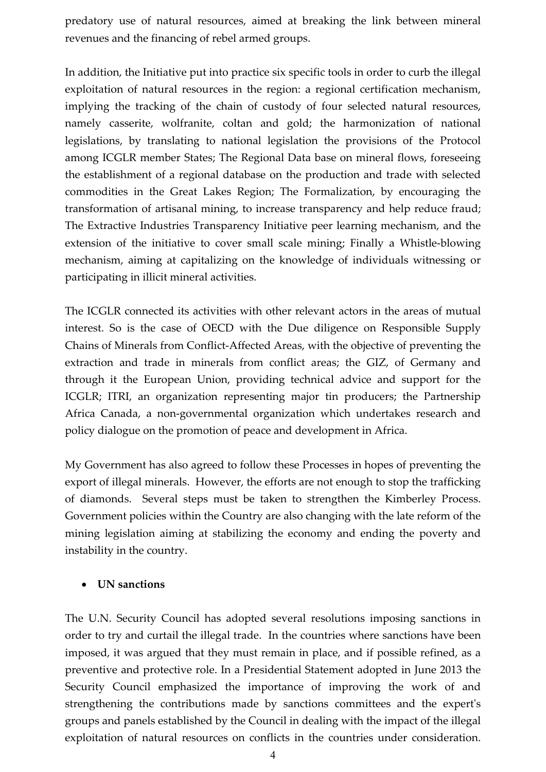predatory use of natural resources, aimed at breaking the link between mineral revenues and the financing of rebel armed groups.

In addition, the Initiative put into practice six specific tools in order to curb the illegal exploitation of natural resources in the region: a regional certification mechanism, implying the tracking of the chain of custody of four selected natural resources, namely casserite, wolfranite, coltan and gold; the harmonization of national legislations, by translating to national legislation the provisions of the Protocol among ICGLR member States; The Regional Data base on mineral flows, foreseeing the establishment of a regional database on the production and trade with selected commodities in the Great Lakes Region; The Formalization, by encouraging the transformation of artisanal mining, to increase transparency and help reduce fraud; The Extractive Industries Transparency Initiative peer learning mechanism, and the extension of the initiative to cover small scale mining; Finally a Whistle‐blowing mechanism, aiming at capitalizing on the knowledge of individuals witnessing or participating in illicit mineral activities.

The ICGLR connected its activities with other relevant actors in the areas of mutual interest. So is the case of OECD with the Due diligence on Responsible Supply Chains of Minerals from Conflict‐Affected Areas, with the objective of preventing the extraction and trade in minerals from conflict areas; the GIZ, of Germany and through it the European Union, providing technical advice and support for the ICGLR; ITRI, an organization representing major tin producers; the Partnership Africa Canada, a non‐governmental organization which undertakes research and policy dialogue on the promotion of peace and development in Africa.

My Government has also agreed to follow these Processes in hopes of preventing the export of illegal minerals. However, the efforts are not enough to stop the trafficking of diamonds. Several steps must be taken to strengthen the Kimberley Process. Government policies within the Country are also changing with the late reform of the mining legislation aiming at stabilizing the economy and ending the poverty and instability in the country.

#### **UN sanctions**

The U.N. Security Council has adopted several resolutions imposing sanctions in order to try and curtail the illegal trade. In the countries where sanctions have been imposed, it was argued that they must remain in place, and if possible refined, as a preventive and protective role. In a Presidential Statement adopted in June 2013 the Security Council emphasized the importance of improving the work of and strengthening the contributions made by sanctions committees and the expert's groups and panels established by the Council in dealing with the impact of the illegal exploitation of natural resources on conflicts in the countries under consideration.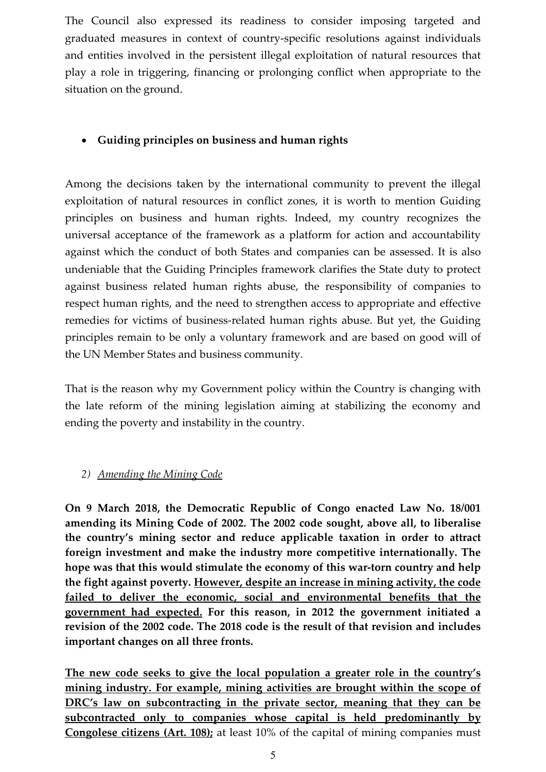The Council also expressed its readiness to consider imposing targeted and graduated measures in context of country‐specific resolutions against individuals and entities involved in the persistent illegal exploitation of natural resources that play a role in triggering, financing or prolonging conflict when appropriate to the situation on the ground.

### **Guiding principles on business and human rights**

Among the decisions taken by the international community to prevent the illegal exploitation of natural resources in conflict zones, it is worth to mention Guiding principles on business and human rights. Indeed, my country recognizes the universal acceptance of the framework as a platform for action and accountability against which the conduct of both States and companies can be assessed. It is also undeniable that the Guiding Principles framework clarifies the State duty to protect against business related human rights abuse, the responsibility of companies to respect human rights, and the need to strengthen access to appropriate and effective remedies for victims of business-related human rights abuse. But yet, the Guiding principles remain to be only a voluntary framework and are based on good will of the UN Member States and business community.

That is the reason why my Government policy within the Country is changing with the late reform of the mining legislation aiming at stabilizing the economy and ending the poverty and instability in the country.

#### *2) Amending the Mining Code*

**On 9 March 2018, the Democratic Republic of Congo enacted Law No. 18/001 amending its Mining Code of 2002. The 2002 code sought, above all, to liberalise the country's mining sector and reduce applicable taxation in order to attract foreign investment and make the industry more competitive internationally. The hope was that this would stimulate the economy of this war‐torn country and help the fight against poverty. However, despite an increase in mining activity, the code failed to deliver the economic, social and environmental benefits that the government had expected. For this reason, in 2012 the government initiated a revision of the 2002 code. The 2018 code is the result of that revision and includes important changes on all three fronts.**

**The new code seeks to give the local population a greater role in the country's mining industry. For example, mining activities are brought within the scope of DRC's law on subcontracting in the private sector, meaning that they can be subcontracted only to companies whose capital is held predominantly by Congolese citizens (Art. 108);** at least 10% of the capital of mining companies must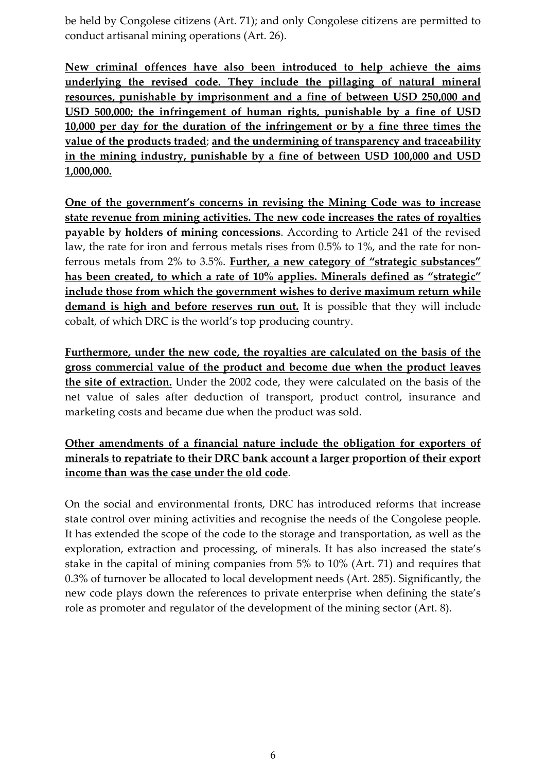be held by Congolese citizens (Art. 71); and only Congolese citizens are permitted to conduct artisanal mining operations (Art. 26).

**New criminal offences have also been introduced to help achieve the aims underlying the revised code. They include the pillaging of natural mineral resources, punishable by imprisonment and a fine of between USD 250,000 and USD 500,000; the infringement of human rights, punishable by a fine of USD 10,000 per day for the duration of the infringement or by a fine three times the value of the products traded**; **and the undermining of transparency and traceability in the mining industry, punishable by a fine of between USD 100,000 and USD 1,000,000.**

**One of the government's concerns in revising the Mining Code was to increase state revenue from mining activities. The new code increases the rates of royalties payable by holders of mining concessions**. According to Article 241 of the revised law, the rate for iron and ferrous metals rises from 0.5% to 1%, and the rate for nonferrous metals from 2% to 3.5%. **Further, a new category of "strategic substances" has been created, to which a rate of 10% applies. Minerals defined as "strategic" include those from which the government wishes to derive maximum return while demand is high and before reserves run out.** It is possible that they will include cobalt, of which DRC is the world's top producing country.

**Furthermore, under the new code, the royalties are calculated on the basis of the gross commercial value of the product and become due when the product leaves the site of extraction.** Under the 2002 code, they were calculated on the basis of the net value of sales after deduction of transport, product control, insurance and marketing costs and became due when the product was sold.

**Other amendments of a financial nature include the obligation for exporters of minerals to repatriate to their DRC bank account a larger proportion of their export income than was the case under the old code**.

On the social and environmental fronts, DRC has introduced reforms that increase state control over mining activities and recognise the needs of the Congolese people. It has extended the scope of the code to the storage and transportation, as well as the exploration, extraction and processing, of minerals. It has also increased the state's stake in the capital of mining companies from 5% to 10% (Art. 71) and requires that 0.3% of turnover be allocated to local development needs (Art. 285). Significantly, the new code plays down the references to private enterprise when defining the state's role as promoter and regulator of the development of the mining sector (Art. 8).